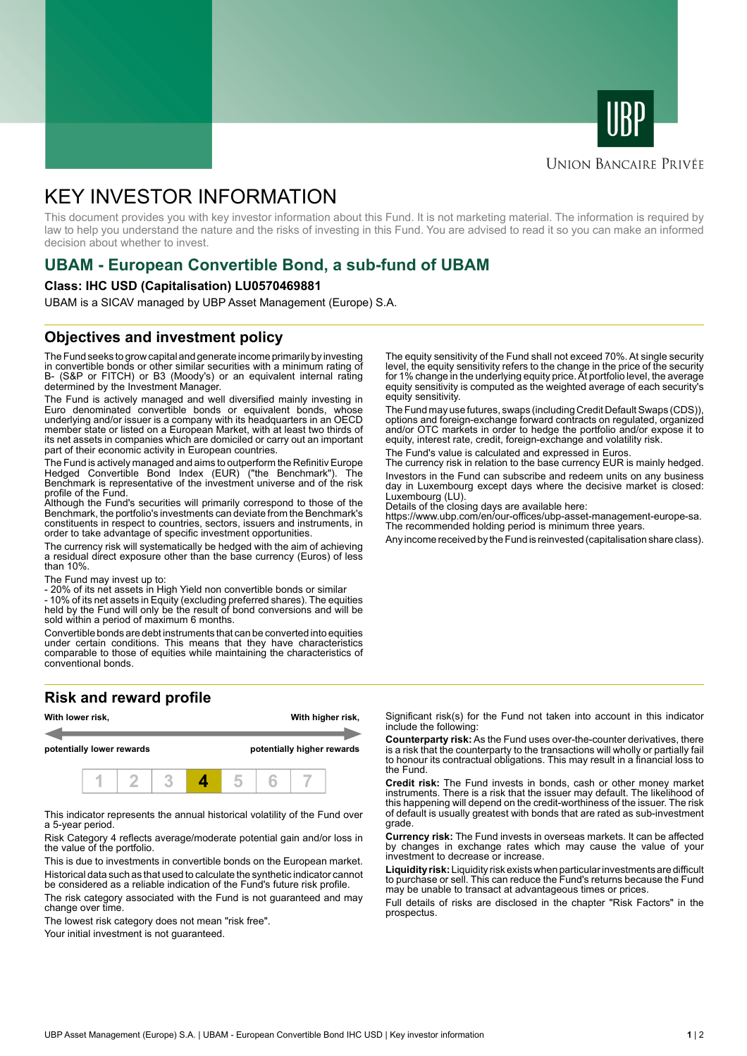



## **UNION BANCAIRE PRIVÉE**

# KEY INVESTOR INFORMATION

This document provides you with key investor information about this Fund. It is not marketing material. The information is required by law to help you understand the nature and the risks of investing in this Fund. You are advised to read it so you can make an informed decision about whether to invest.

# **UBAM - European Convertible Bond, a sub-fund of UBAM**

#### **Class: IHC USD (Capitalisation) LU0570469881**

UBAM is a SICAV managed by UBP Asset Management (Europe) S.A.

# **Objectives and investment policy**

The Fund seeks to grow capital and generate income primarily by investing in convertible bonds or other similar securities with a minimum rating of B- (S&P or FITCH) or B3 (Moody's) or an equivalent internal rating determined by the Investment Manager.

The Fund is actively managed and well diversified mainly investing in Euro denominated convertible bonds or equivalent bonds, whose underlying and/or issuer is a company with its headquarters in an OECD member state or listed on a European Market, with at least two thirds of its net assets in companies which are domiciled or carry out an important part of their economic activity in European countries.

The Fund is actively managed and aims to outperform the Refinitiv Europe Hedged Convertible Bond Index (EUR) ("the Benchmark"). The Benchmark is representative of the investment universe and of the risk profile of the Fund.

Although the Fund's securities will primarily correspond to those of the Benchmark, the portfolio's investments can deviate from the Benchmark's constituents in respect to countries, sectors, issuers and instruments, in order to take advantage of specific investment opportunities.

The currency risk will systematically be hedged with the aim of achieving a residual direct exposure other than the base currency (Euros) of less than 10%.

The Fund may invest up to:

- 20% of its net assets in High Yield non convertible bonds or similar

- 10% of its net assets in Equity (excluding preferred shares). The equities held by the Fund will only be the result of bond conversions and will be sold within a period of maximum 6 months.

Convertible bonds are debt instruments that can be converted into equities under certain conditions. This means that they have characteristics comparable to those of equities while maintaining the characteristics of conventional bonds.

### **Risk and reward profile**



This indicator represents the annual historical volatility of the Fund over a 5-year period.

Risk Category 4 reflects average/moderate potential gain and/or loss in the value of the portfolio.

This is due to investments in convertible bonds on the European market. Historical data such as that used to calculate the synthetic indicator cannot be considered as a reliable indication of the Fund's future risk profile.

The risk category associated with the Fund is not guaranteed and may change over time.

The lowest risk category does not mean "risk free".

Your initial investment is not quaranteed.

The equity sensitivity of the Fund shall not exceed 70%. At single security level, the equity sensitivity refers to the change in the price of the security for 1% change in the underlying equity price. At portfolio level, the average equity sensitivity is computed as the weighted average of each security's equity sensitivity.

The Fund may use futures, swaps (including Credit Default Swaps (CDS)), options and foreign-exchange forward contracts on regulated, organized and/or OTC markets in order to hedge the portfolio and/or expose it to equity, interest rate, credit, foreign-exchange and volatility risk.

The Fund's value is calculated and expressed in Euros.

The currency risk in relation to the base currency EUR is mainly hedged. Investors in the Fund can subscribe and redeem units on any business day in Luxembourg except days where the decisive market is closed: Luxembourg (LU).

Details of the closing days are available here:

https://www.ubp.com/en/our-offices/ubp-asset-management-europe-sa. The recommended holding period is minimum three years.

Any income received by the Fund is reinvested (capitalisation share class).

Significant risk(s) for the Fund not taken into account in this indicator include the following:

**Counterparty risk:** As the Fund uses over-the-counter derivatives, there is a risk that the counterparty to the transactions will wholly or partially fail to honour its contractual obligations. This may result in a financial loss to the Fund.

**Credit risk:** The Fund invests in bonds, cash or other money market instruments. There is a risk that the issuer may default. The likelihood of this happening will depend on the credit-worthiness of the issuer. The risk of default is usually greatest with bonds that are rated as sub-investment grade.

**Currency risk:** The Fund invests in overseas markets. It can be affected by changes in exchange rates which may cause the value of your investment to decrease or increase.

**Liquidity risk:** Liquidity risk exists when particular investments are difficult to purchase or sell. This can reduce the Fund's returns because the Fund may be unable to transact at advantageous times or prices.

Full details of risks are disclosed in the chapter "Risk Factors" in the prospectus.